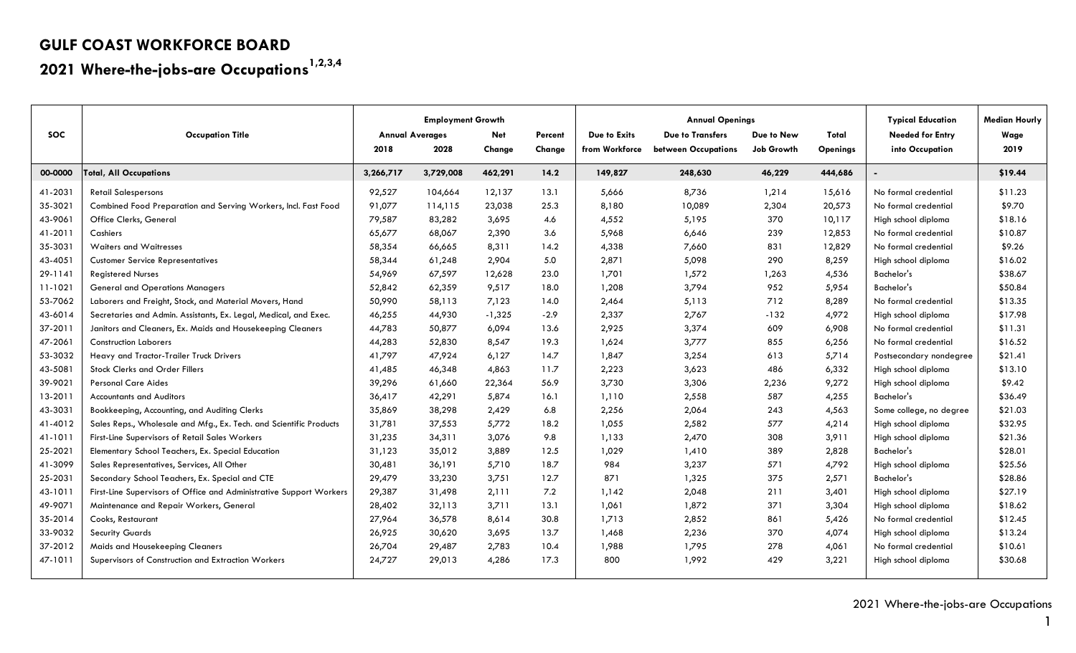# **2021 Where-the-jobs-are Occupations1,2,3,4**

|            |                                                                     | <b>Employment Growth</b> |           |            |         |                | <b>Annual Openings</b>  | <b>Typical Education</b> | <b>Median Hourly</b> |                         |         |
|------------|---------------------------------------------------------------------|--------------------------|-----------|------------|---------|----------------|-------------------------|--------------------------|----------------------|-------------------------|---------|
| <b>SOC</b> | <b>Occupation Title</b>                                             | <b>Annual Averages</b>   |           | <b>Net</b> | Percent | Due to Exits   | <b>Due to Transfers</b> | Due to New               | Total                | <b>Needed for Entry</b> | Wage    |
|            |                                                                     | 2018                     | 2028      | Change     | Change  | from Workforce | between Occupations     | <b>Job Growth</b>        | <b>Openings</b>      | into Occupation         | 2019    |
| 00-0000    | <b>Total, All Occupations</b>                                       | 3,266,717                | 3,729,008 | 462,291    | 14.2    | 149,827        | 248,630                 | 46,229                   | 444,686              |                         | \$19.44 |
| 41-2031    | <b>Retail Salespersons</b>                                          | 92,527                   | 104,664   | 12,137     | 13.1    | 5,666          | 8,736                   | 1,214                    | 15,616               | No formal credential    | \$11.23 |
| 35-3021    | Combined Food Preparation and Serving Workers, Incl. Fast Food      | 91,077                   | 114,115   | 23,038     | 25.3    | 8,180          | 10,089                  | 2,304                    | 20,573               | No formal credential    | \$9.70  |
| 43-9061    | Office Clerks, General                                              | 79,587                   | 83,282    | 3,695      | 4.6     | 4,552          | 5,195                   | 370                      | 10,117               | High school diploma     | \$18.16 |
| 41-2011    | Cashiers                                                            | 65,677                   | 68,067    | 2,390      | 3.6     | 5,968          | 6,646                   | 239                      | 12,853               | No formal credential    | \$10.87 |
| 35-3031    | <b>Waiters and Waitresses</b>                                       | 58,354                   | 66,665    | 8,311      | 14.2    | 4,338          | 7,660                   | 831                      | 12,829               | No formal credential    | \$9.26  |
| 43-4051    | <b>Customer Service Representatives</b>                             | 58,344                   | 61,248    | 2,904      | 5.0     | 2,871          | 5,098                   | 290                      | 8,259                | High school diploma     | \$16.02 |
| 29-1141    | <b>Registered Nurses</b>                                            | 54,969                   | 67,597    | 12,628     | 23.0    | 1,701          | 1,572                   | 1,263                    | 4,536                | Bachelor's              | \$38.67 |
| 11-1021    | <b>General and Operations Managers</b>                              | 52,842                   | 62,359    | 9,517      | 18.0    | 1,208          | 3,794                   | 952                      | 5,954                | Bachelor's              | \$50.84 |
| 53-7062    | Laborers and Freight, Stock, and Material Movers, Hand              | 50,990                   | 58,113    | 7,123      | 14.0    | 2,464          | 5,113                   | 712                      | 8,289                | No formal credential    | \$13.35 |
| 43-6014    | Secretaries and Admin. Assistants, Ex. Legal, Medical, and Exec.    | 46,255                   | 44,930    | $-1,325$   | $-2.9$  | 2,337          | 2,767                   | $-132$                   | 4,972                | High school diploma     | \$17.98 |
| 37-2011    | Janitors and Cleaners, Ex. Maids and Housekeeping Cleaners          | 44,783                   | 50,877    | 6,094      | 13.6    | 2,925          | 3,374                   | 609                      | 6,908                | No formal credential    | \$11.31 |
| 47-2061    | <b>Construction Laborers</b>                                        | 44,283                   | 52,830    | 8,547      | 19.3    | 1,624          | 3,777                   | 855                      | 6,256                | No formal credential    | \$16.52 |
| 53-3032    | Heavy and Tractor-Trailer Truck Drivers                             | 41,797                   | 47,924    | 6,127      | 14.7    | 1,847          | 3,254                   | 613                      | 5,714                | Postsecondary nondegree | \$21.41 |
| 43-5081    | <b>Stock Clerks and Order Fillers</b>                               | 41,485                   | 46,348    | 4,863      | 11.7    | 2,223          | 3,623                   | 486                      | 6,332                | High school diploma     | \$13.10 |
| 39-9021    | <b>Personal Care Aides</b>                                          | 39,296                   | 61,660    | 22,364     | 56.9    | 3,730          | 3,306                   | 2,236                    | 9,272                | High school diploma     | \$9.42  |
| 13-2011    | <b>Accountants and Auditors</b>                                     | 36,417                   | 42,291    | 5,874      | 16.1    | 1,110          | 2,558                   | 587                      | 4,255                | Bachelor's              | \$36.49 |
| 43-3031    | Bookkeeping, Accounting, and Auditing Clerks                        | 35,869                   | 38,298    | 2,429      | 6.8     | 2,256          | 2,064                   | 243                      | 4,563                | Some college, no degree | \$21.03 |
| 41-4012    | Sales Reps., Wholesale and Mfg., Ex. Tech. and Scientific Products  | 31,781                   | 37,553    | 5,772      | 18.2    | 1,055          | 2,582                   | 577                      | 4,214                | High school diploma     | \$32.95 |
| 41-1011    | First-Line Supervisors of Retail Sales Workers                      | 31,235                   | 34,311    | 3,076      | 9.8     | 1,133          | 2,470                   | 308                      | 3,911                | High school diploma     | \$21.36 |
| 25-2021    | Elementary School Teachers, Ex. Special Education                   | 31,123                   | 35,012    | 3,889      | 12.5    | 1,029          | 1,410                   | 389                      | 2,828                | Bachelor's              | \$28.01 |
| 41-3099    | Sales Representatives, Services, All Other                          | 30,481                   | 36,191    | 5,710      | 18.7    | 984            | 3,237                   | 571                      | 4,792                | High school diploma     | \$25.56 |
| 25-2031    | Secondary School Teachers, Ex. Special and CTE                      | 29,479                   | 33,230    | 3,751      | 12.7    | 871            | 1,325                   | 375                      | 2,571                | Bachelor's              | \$28.86 |
| 43-1011    | First-Line Supervisors of Office and Administrative Support Workers | 29,387                   | 31,498    | 2,111      | 7.2     | 1,142          | 2,048                   | 211                      | 3,401                | High school diploma     | \$27.19 |
| 49-9071    | Maintenance and Repair Workers, General                             | 28,402                   | 32,113    | 3,711      | 13.1    | 1,061          | 1,872                   | 371                      | 3,304                | High school diploma     | \$18.62 |
| 35-2014    | Cooks, Restaurant                                                   | 27,964                   | 36,578    | 8,614      | 30.8    | 1,713          | 2,852                   | 861                      | 5,426                | No formal credential    | \$12.45 |
| 33-9032    | <b>Security Guards</b>                                              | 26,925                   | 30,620    | 3,695      | 13.7    | 1,468          | 2,236                   | 370                      | 4,074                | High school diploma     | \$13.24 |
| 37-2012    | Maids and Housekeeping Cleaners                                     | 26,704                   | 29,487    | 2,783      | 10.4    | 1,988          | 1,795                   | 278                      | 4,061                | No formal credential    | \$10.61 |
| 47-1011    | Supervisors of Construction and Extraction Workers                  | 24,727                   | 29,013    | 4,286      | 17.3    | 800            | 1,992                   | 429                      | 3,221                | High school diploma     | \$30.68 |

1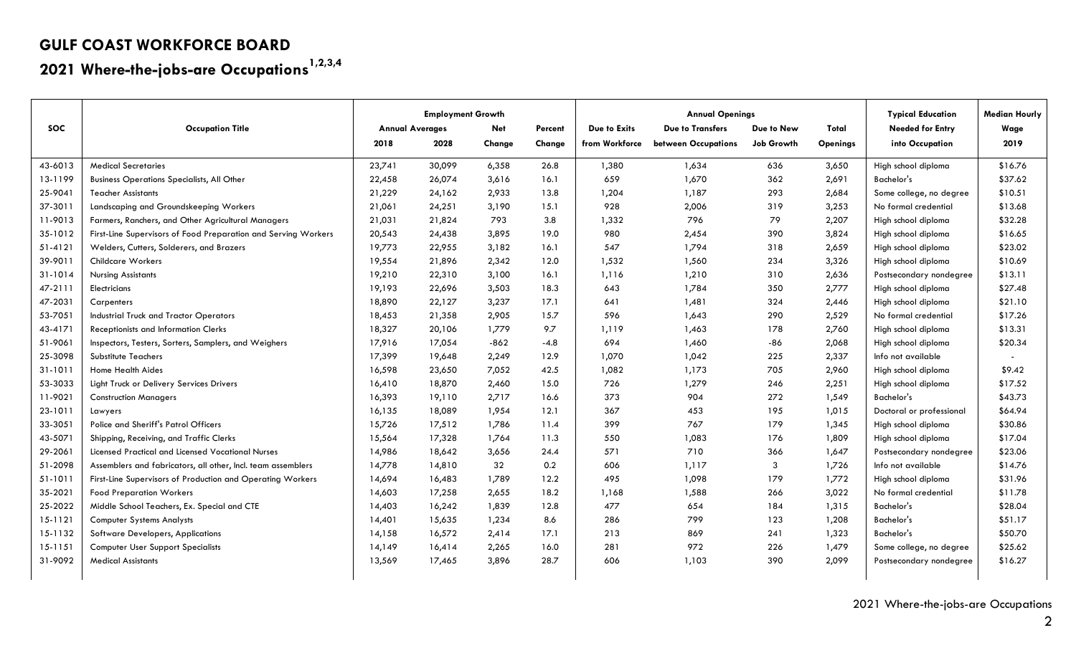# **2021 Where-the-jobs-are Occupations1,2,3,4**

|            |                                                                | <b>Employment Growth</b> |        |            | <b>Annual Openings</b> |                |                         |            | <b>Typical Education</b> | <b>Median Hourly</b>     |         |
|------------|----------------------------------------------------------------|--------------------------|--------|------------|------------------------|----------------|-------------------------|------------|--------------------------|--------------------------|---------|
| <b>SOC</b> | <b>Occupation Title</b>                                        | <b>Annual Averages</b>   |        | <b>Net</b> | Percent                | Due to Exits   | <b>Due to Transfers</b> | Due to New | Total                    | <b>Needed for Entry</b>  | Wage    |
|            |                                                                | 2018                     | 2028   | Change     | Change                 | from Workforce | between Occupations     | Job Growth | <b>Openings</b>          | into Occupation          | 2019    |
| 43-6013    | <b>Medical Secretaries</b>                                     | 23,741                   | 30,099 | 6,358      | 26.8                   | 1,380          | 1,634                   | 636        | 3,650                    | High school diploma      | \$16.76 |
| 13-1199    | <b>Business Operations Specialists, All Other</b>              | 22,458                   | 26,074 | 3,616      | 16.1                   | 659            | 1,670                   | 362        | 2,691                    | Bachelor's               | \$37.62 |
| 25-9041    | <b>Teacher Assistants</b>                                      | 21,229                   | 24,162 | 2,933      | 13.8                   | 1,204          | 1,187                   | 293        | 2,684                    | Some college, no degree  | \$10.51 |
| 37-3011    | Landscaping and Groundskeeping Workers                         | 21,061                   | 24,251 | 3,190      | 15.1                   | 928            | 2,006                   | 319        | 3,253                    | No formal credential     | \$13.68 |
| 11-9013    | Farmers, Ranchers, and Other Agricultural Managers             | 21,031                   | 21,824 | 793        | 3.8                    | 1,332          | 796                     | 79         | 2,207                    | High school diploma      | \$32.28 |
| 35-1012    | First-Line Supervisors of Food Preparation and Serving Workers | 20,543                   | 24,438 | 3,895      | 19.0                   | 980            | 2,454                   | 390        | 3,824                    | High school diploma      | \$16.65 |
| 51-4121    | Welders, Cutters, Solderers, and Brazers                       | 19,773                   | 22,955 | 3,182      | 16.1                   | 547            | 1,794                   | 318        | 2,659                    | High school diploma      | \$23.02 |
| 39-9011    | <b>Childcare Workers</b>                                       | 19,554                   | 21,896 | 2,342      | 12.0                   | 1,532          | 1,560                   | 234        | 3,326                    | High school diploma      | \$10.69 |
| 31-1014    | <b>Nursing Assistants</b>                                      | 19,210                   | 22,310 | 3,100      | 16.1                   | 1,116          | 1,210                   | 310        | 2,636                    | Postsecondary nondegree  | \$13.11 |
| 47-2111    | Electricians                                                   | 19,193                   | 22,696 | 3,503      | 18.3                   | 643            | 1,784                   | 350        | 2,777                    | High school diploma      | \$27.48 |
| 47-2031    | Carpenters                                                     | 18,890                   | 22,127 | 3,237      | 17.1                   | 641            | 1,481                   | 324        | 2,446                    | High school diploma      | \$21.10 |
| 53-7051    | <b>Industrial Truck and Tractor Operators</b>                  | 18,453                   | 21,358 | 2,905      | 15.7                   | 596            | 1,643                   | 290        | 2,529                    | No formal credential     | \$17.26 |
| 43-4171    | Receptionists and Information Clerks                           | 18,327                   | 20,106 | 1,779      | 9.7                    | 1,119          | 1,463                   | 178        | 2,760                    | High school diploma      | \$13.31 |
| 51-9061    | Inspectors, Testers, Sorters, Samplers, and Weighers           | 17,916                   | 17,054 | $-862$     | $-4.8$                 | 694            | 1,460                   | -86        | 2,068                    | High school diploma      | \$20.34 |
| 25-3098    | Substitute Teachers                                            | 17,399                   | 19,648 | 2,249      | 12.9                   | 1,070          | 1,042                   | 225        | 2,337                    | Info not available       |         |
| 31-1011    | <b>Home Health Aides</b>                                       | 16,598                   | 23,650 | 7,052      | 42.5                   | 1,082          | 1,173                   | 705        | 2,960                    | High school diploma      | \$9.42  |
| 53-3033    | Light Truck or Delivery Services Drivers                       | 16,410                   | 18,870 | 2,460      | 15.0                   | 726            | 1,279                   | 246        | 2,251                    | High school diploma      | \$17.52 |
| 11-9021    | <b>Construction Managers</b>                                   | 16,393                   | 19,110 | 2,717      | 16.6                   | 373            | 904                     | 272        | 1,549                    | Bachelor's               | \$43.73 |
| 23-1011    | Lawyers                                                        | 16,135                   | 18,089 | 1,954      | 12.1                   | 367            | 453                     | 195        | 1,015                    | Doctoral or professional | \$64.94 |
| 33-3051    | Police and Sheriff's Patrol Officers                           | 15,726                   | 17,512 | 1,786      | 11.4                   | 399            | 767                     | 179        | 1,345                    | High school diploma      | \$30.86 |
| 43-5071    | Shipping, Receiving, and Traffic Clerks                        | 15,564                   | 17,328 | 1,764      | 11.3                   | 550            | 1,083                   | 176        | 1,809                    | High school diploma      | \$17.04 |
| 29-2061    | Licensed Practical and Licensed Vocational Nurses              | 14,986                   | 18,642 | 3,656      | 24.4                   | 571            | 710                     | 366        | 1,647                    | Postsecondary nondegree  | \$23.06 |
| 51-2098    | Assemblers and fabricators, all other, Incl. team assemblers   | 14,778                   | 14,810 | 32         | 0.2                    | 606            | 1,117                   | 3          | 1,726                    | Info not available       | \$14.76 |
| $51-1011$  | First-Line Supervisors of Production and Operating Workers     | 14,694                   | 16,483 | 1,789      | 12.2                   | 495            | 1,098                   | 179        | 1,772                    | High school diploma      | \$31.96 |
| 35-2021    | <b>Food Preparation Workers</b>                                | 14,603                   | 17,258 | 2,655      | 18.2                   | 1,168          | 1,588                   | 266        | 3,022                    | No formal credential     | \$11.78 |
| 25-2022    | Middle School Teachers, Ex. Special and CTE                    | 14,403                   | 16,242 | 1,839      | 12.8                   | 477            | 654                     | 184        | 1,315                    | Bachelor's               | \$28.04 |
| 15-1121    | <b>Computer Systems Analysts</b>                               | 14,401                   | 15,635 | 1,234      | 8.6                    | 286            | 799                     | 123        | 1,208                    | Bachelor's               | \$51.17 |
| 15-1132    | <b>Software Developers, Applications</b>                       | 14,158                   | 16,572 | 2,414      | 17.1                   | 213            | 869                     | 241        | 1,323                    | Bachelor's               | \$50.70 |
| 15-1151    | <b>Computer User Support Specialists</b>                       | 14,149                   | 16,414 | 2,265      | 16.0                   | 281            | 972                     | 226        | 1,479                    | Some college, no degree  | \$25.62 |
| 31-9092    | <b>Medical Assistants</b>                                      | 13,569                   | 17,465 | 3,896      | 28.7                   | 606            | 1,103                   | 390        | 2,099                    | Postsecondary nondegree  | \$16.27 |
|            |                                                                |                          |        |            |                        |                |                         |            |                          |                          |         |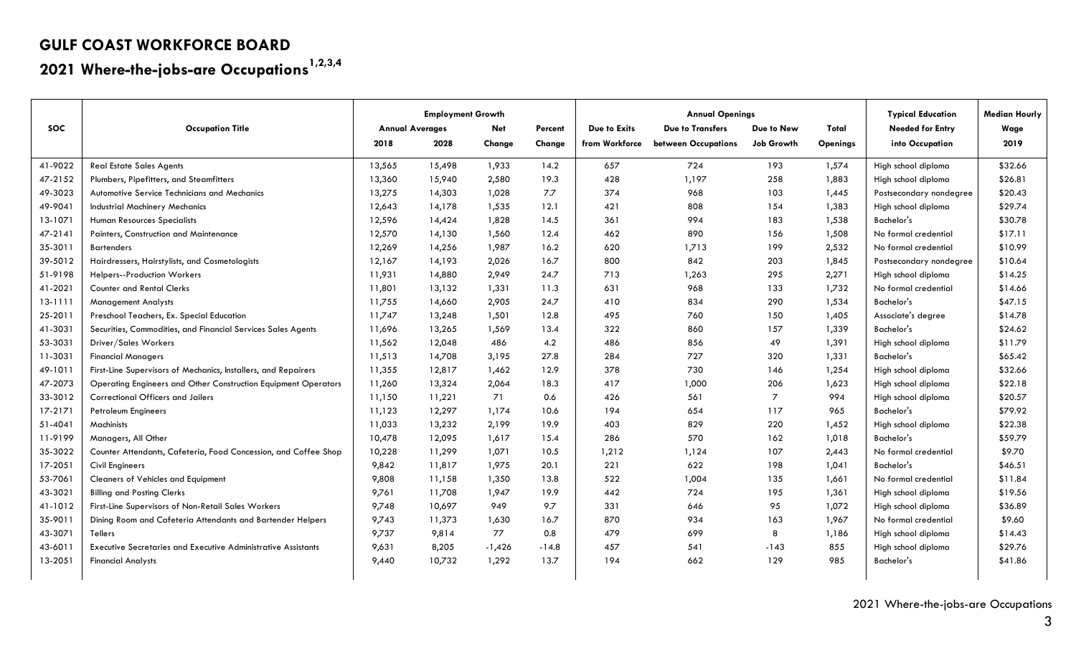# **2021 Where-the-jobs-are Occupations1,2,3,4**

|            |                                                                      | <b>Employment Growth</b> |        |            |         | <b>Annual Openings</b> | <b>Typical Education</b> | <b>Median Hourly</b> |                 |                         |         |
|------------|----------------------------------------------------------------------|--------------------------|--------|------------|---------|------------------------|--------------------------|----------------------|-----------------|-------------------------|---------|
| <b>SOC</b> | <b>Occupation Title</b>                                              | <b>Annual Averages</b>   |        | <b>Net</b> | Percent | Due to Exits           | <b>Due to Transfers</b>  | Due to New           | Total           | <b>Needed for Entry</b> | Wage    |
|            |                                                                      | 2018                     | 2028   | Change     | Change  | from Workforce         | between Occupations      | Job Growth           | <b>Openings</b> | into Occupation         | 2019    |
| 41-9022    | <b>Real Estate Sales Agents</b>                                      | 13,565                   | 15,498 | 1,933      | 14.2    | 657                    | 724                      | 193                  | 1,574           | High school diploma     | \$32.66 |
| 47-2152    | Plumbers, Pipefitters, and Steamfitters                              | 13,360                   | 15,940 | 2,580      | 19.3    | 428                    | 1,197                    | 258                  | 1,883           | High school diploma     | \$26.81 |
| 49-3023    | Automotive Service Technicians and Mechanics                         | 13,275                   | 14,303 | 1,028      | 7.7     | 374                    | 968                      | 103                  | 1,445           | Postsecondary nondegree | \$20.43 |
| 49-9041    | <b>Industrial Machinery Mechanics</b>                                | 12,643                   | 14,178 | 1,535      | 12.1    | 421                    | 808                      | 154                  | 1,383           | High school diploma     | \$29.74 |
| 13-1071    | Human Resources Specialists                                          | 12,596                   | 14,424 | 1,828      | 14.5    | 361                    | 994                      | 183                  | 1,538           | Bachelor's              | \$30.78 |
| 47-2141    | Painters, Construction and Maintenance                               | 12,570                   | 14,130 | 1,560      | 12.4    | 462                    | 890                      | 156                  | 1,508           | No formal credential    | \$17.11 |
| 35-3011    | <b>Bartenders</b>                                                    | 12,269                   | 14,256 | 1,987      | 16.2    | 620                    | 1,713                    | 199                  | 2,532           | No formal credential    | \$10.99 |
| 39-5012    | Hairdressers, Hairstylists, and Cosmetologists                       | 12,167                   | 14,193 | 2,026      | 16.7    | 800                    | 842                      | 203                  | 1,845           | Postsecondary nondegree | \$10.64 |
| 51-9198    | <b>Helpers--Production Workers</b>                                   | 11,931                   | 14,880 | 2,949      | 24.7    | 713                    | 1,263                    | 295                  | 2,271           | High school diploma     | \$14.25 |
| 41-2021    | <b>Counter and Rental Clerks</b>                                     | 11,801                   | 13,132 | 1,331      | 11.3    | 631                    | 968                      | 133                  | 1,732           | No formal credential    | \$14.66 |
| 13-1111    | <b>Management Analysts</b>                                           | 11,755                   | 14,660 | 2,905      | 24.7    | 410                    | 834                      | 290                  | 1,534           | Bachelor's              | \$47.15 |
| 25-2011    | Preschool Teachers, Ex. Special Education                            | 11,747                   | 13,248 | 1,501      | 12.8    | 495                    | 760                      | 150                  | 1,405           | Associate's degree      | \$14.78 |
| 41-3031    | Securities, Commodities, and Financial Services Sales Agents         | 11,696                   | 13,265 | 1,569      | 13.4    | 322                    | 860                      | 157                  | 1,339           | Bachelor's              | \$24.62 |
| 53-3031    | Driver/Sales Workers                                                 | 11,562                   | 12,048 | 486        | 4.2     | 486                    | 856                      | 49                   | 1,391           | High school diploma     | \$11.79 |
| 11-3031    | <b>Financial Managers</b>                                            | 11,513                   | 14,708 | 3,195      | 27.8    | 284                    | 727                      | 320                  | 1,331           | Bachelor's              | \$65.42 |
| 49-1011    | First-Line Supervisors of Mechanics, Installers, and Repairers       | 11,355                   | 12,817 | 1,462      | 12.9    | 378                    | 730                      | 146                  | 1,254           | High school diploma     | \$32.66 |
| 47-2073    | Operating Engineers and Other Construction Equipment Operators       | 11,260                   | 13,324 | 2,064      | 18.3    | 417                    | 1,000                    | 206                  | 1,623           | High school diploma     | \$22.18 |
| 33-3012    | Correctional Officers and Jailers                                    | 11,150                   | 11,221 | 71         | 0.6     | 426                    | 561                      | $\overline{7}$       | 994             | High school diploma     | \$20.57 |
| 17-2171    | <b>Petroleum Engineers</b>                                           | 11,123                   | 12,297 | 1,174      | 10.6    | 194                    | 654                      | 117                  | 965             | Bachelor's              | \$79.92 |
| 51-4041    | Machinists                                                           | 11,033                   | 13,232 | 2,199      | 19.9    | 403                    | 829                      | 220                  | 1,452           | High school diploma     | \$22.38 |
| 11-9199    | Managers, All Other                                                  | 10,478                   | 12,095 | 1,617      | 15.4    | 286                    | 570                      | 162                  | 1,018           | Bachelor's              | \$59.79 |
| 35-3022    | Counter Attendants, Cafeteria, Food Concession, and Coffee Shop      | 10,228                   | 11,299 | 1,071      | 10.5    | 1,212                  | 1,124                    | 107                  | 2,443           | No formal credential    | \$9.70  |
| 17-2051    | <b>Civil Engineers</b>                                               | 9,842                    | 11,817 | 1,975      | 20.1    | 221                    | 622                      | 198                  | 1,041           | Bachelor's              | \$46.51 |
| 53-7061    | Cleaners of Vehicles and Equipment                                   | 9,808                    | 11,158 | 1,350      | 13.8    | 522                    | 1,004                    | 135                  | 1,661           | No formal credential    | \$11.84 |
| 43-3021    | <b>Billing and Posting Clerks</b>                                    | 9,761                    | 11,708 | 1,947      | 19.9    | 442                    | 724                      | 195                  | 1,361           | High school diploma     | \$19.56 |
| 41-1012    | First-Line Supervisors of Non-Retail Sales Workers                   | 9,748                    | 10,697 | 949        | 9.7     | 331                    | 646                      | 95                   | 1,072           | High school diploma     | \$36.89 |
| 35-9011    | Dining Room and Cafeteria Attendants and Bartender Helpers           | 9,743                    | 11,373 | 1,630      | 16.7    | 870                    | 934                      | 163                  | 1,967           | No formal credential    | \$9.60  |
| 43-3071    | <b>Tellers</b>                                                       | 9,737                    | 9,814  | 77         | 0.8     | 479                    | 699                      | 8                    | 1,186           | High school diploma     | \$14.43 |
| 43-6011    | <b>Executive Secretaries and Executive Administrative Assistants</b> | 9,631                    | 8,205  | $-1,426$   | $-14.8$ | 457                    | 541                      | $-143$               | 855             | High school diploma     | \$29.76 |
| 13-2051    | <b>Financial Analysts</b>                                            | 9,440                    | 10,732 | 1,292      | 13.7    | 194                    | 662                      | 129                  | 985             | Bachelor's              | \$41.86 |
|            |                                                                      |                          |        |            |         |                        |                          |                      |                 |                         |         |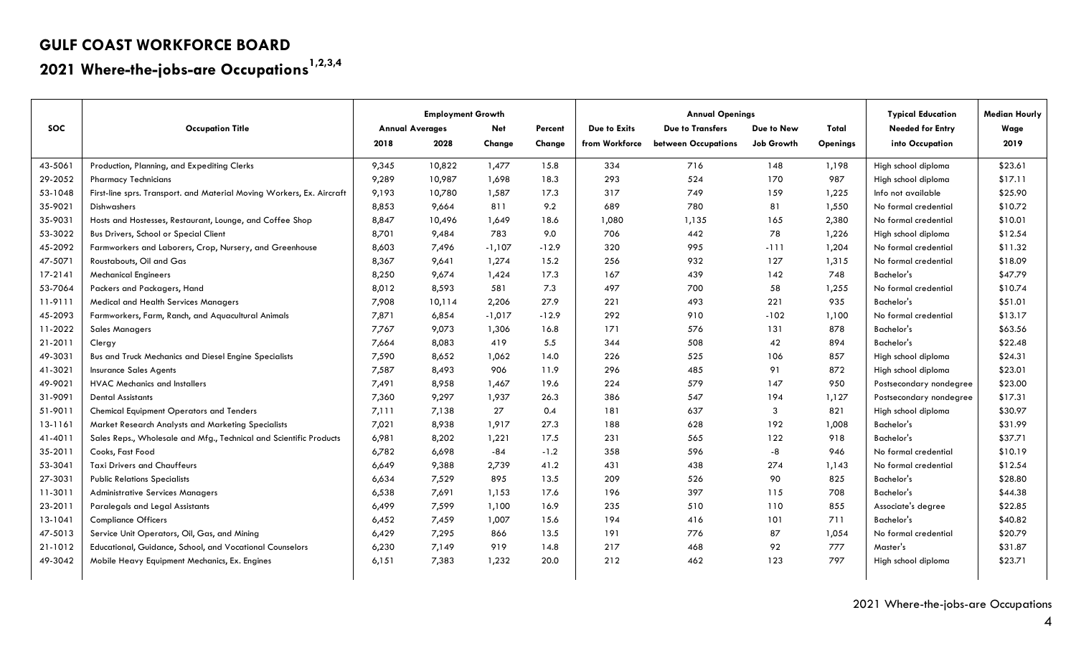# **2021 Where-the-jobs-are Occupations1,2,3,4**

|            |                                                                       | <b>Employment Growth</b> |        |          | <b>Annual Openings</b> |                |                         |                   | <b>Typical Education</b> | <b>Median Hourly</b>    |         |
|------------|-----------------------------------------------------------------------|--------------------------|--------|----------|------------------------|----------------|-------------------------|-------------------|--------------------------|-------------------------|---------|
| <b>SOC</b> | <b>Occupation Title</b>                                               | <b>Annual Averages</b>   |        | Net      | Percent                | Due to Exits   | <b>Due to Transfers</b> | Due to New        | Total                    | <b>Needed for Entry</b> | Wage    |
|            |                                                                       | 2018                     | 2028   | Change   | Change                 | from Workforce | between Occupations     | <b>Job Growth</b> | <b>Openings</b>          | into Occupation         | 2019    |
| 43-5061    | Production, Planning, and Expediting Clerks                           | 9,345                    | 10,822 | 1,477    | 15.8                   | 334            | 716                     | 148               | 1,198                    | High school diploma     | \$23.61 |
| 29-2052    | <b>Pharmacy Technicians</b>                                           | 9,289                    | 10,987 | 1,698    | 18.3                   | 293            | 524                     | 170               | 987                      | High school diploma     | \$17.11 |
| 53-1048    | First-line sprs. Transport. and Material Moving Workers, Ex. Aircraft | 9,193                    | 10,780 | 1,587    | 17.3                   | 317            | 749                     | 159               | 1,225                    | Info not available      | \$25.90 |
| 35-9021    | Dishwashers                                                           | 8,853                    | 9,664  | 811      | 9.2                    | 689            | 780                     | 81                | 1,550                    | No formal credential    | \$10.72 |
| 35-9031    | Hosts and Hostesses, Restaurant, Lounge, and Coffee Shop              | 8,847                    | 10,496 | 1,649    | 18.6                   | 1,080          | 1,135                   | 165               | 2,380                    | No formal credential    | \$10.01 |
| 53-3022    | Bus Drivers, School or Special Client                                 | 8,701                    | 9,484  | 783      | 9.0                    | 706            | 442                     | 78                | 1,226                    | High school diploma     | \$12.54 |
| 45-2092    | Farmworkers and Laborers, Crop, Nursery, and Greenhouse               | 8,603                    | 7,496  | $-1,107$ | $-12.9$                | 320            | 995                     | $-111$            | 1,204                    | No formal credential    | \$11.32 |
| 47-5071    | Roustabouts, Oil and Gas                                              | 8,367                    | 9,641  | 1,274    | 15.2                   | 256            | 932                     | 127               | 1,315                    | No formal credential    | \$18.09 |
| 17-2141    | <b>Mechanical Engineers</b>                                           | 8,250                    | 9,674  | 1,424    | 17.3                   | 167            | 439                     | 142               | 748                      | Bachelor's              | \$47.79 |
| 53-7064    | Packers and Packagers, Hand                                           | 8,012                    | 8,593  | 581      | 7.3                    | 497            | 700                     | 58                | 1,255                    | No formal credential    | \$10.74 |
| 11-9111    | Medical and Health Services Managers                                  | 7,908                    | 10,114 | 2,206    | 27.9                   | 221            | 493                     | 221               | 935                      | Bachelor's              | \$51.01 |
| 45-2093    | Farmworkers, Farm, Ranch, and Aquacultural Animals                    | 7,871                    | 6,854  | $-1,017$ | $-12.9$                | 292            | 910                     | $-102$            | 1,100                    | No formal credential    | \$13.17 |
| 11-2022    | <b>Sales Managers</b>                                                 | 7,767                    | 9,073  | 1,306    | 16.8                   | 171            | 576                     | 131               | 878                      | Bachelor's              | \$63.56 |
| 21-2011    | Clergy                                                                | 7,664                    | 8,083  | 419      | 5.5                    | 344            | 508                     | 42                | 894                      | Bachelor's              | \$22.48 |
| 49-3031    | Bus and Truck Mechanics and Diesel Engine Specialists                 | 7,590                    | 8,652  | 1,062    | 14.0                   | 226            | 525                     | 106               | 857                      | High school diploma     | \$24.31 |
| 41-3021    | <b>Insurance Sales Agents</b>                                         | 7,587                    | 8,493  | 906      | 11.9                   | 296            | 485                     | 91                | 872                      | High school diploma     | \$23.01 |
| 49-9021    | <b>HVAC Mechanics and Installers</b>                                  | 7,491                    | 8,958  | 1,467    | 19.6                   | 224            | 579                     | 147               | 950                      | Postsecondary nondegree | \$23.00 |
| 31-9091    | <b>Dental Assistants</b>                                              | 7,360                    | 9,297  | 1,937    | 26.3                   | 386            | 547                     | 194               | 1,127                    | Postsecondary nondegree | \$17.31 |
| 51-9011    | <b>Chemical Equipment Operators and Tenders</b>                       | 7,111                    | 7,138  | 27       | 0.4                    | 181            | 637                     | 3                 | 821                      | High school diploma     | \$30.97 |
| 13-1161    | Market Research Analysts and Marketing Specialists                    | 7,021                    | 8,938  | 1,917    | 27.3                   | 188            | 628                     | 192               | 1,008                    | Bachelor's              | \$31.99 |
| 41-4011    | Sales Reps., Wholesale and Mfg., Technical and Scientific Products    | 6,981                    | 8,202  | 1,221    | 17.5                   | 231            | 565                     | 122               | 918                      | Bachelor's              | \$37.71 |
| 35-2011    | Cooks, Fast Food                                                      | 6,782                    | 6,698  | $-84$    | $-1.2$                 | 358            | 596                     | -8                | 946                      | No formal credential    | \$10.19 |
| 53-3041    | <b>Taxi Drivers and Chauffeurs</b>                                    | 6,649                    | 9,388  | 2,739    | 41.2                   | 431            | 438                     | 274               | 1,143                    | No formal credential    | \$12.54 |
| 27-3031    | <b>Public Relations Specialists</b>                                   | 6,634                    | 7,529  | 895      | 13.5                   | 209            | 526                     | 90                | 825                      | Bachelor's              | \$28.80 |
| 11-3011    | <b>Administrative Services Managers</b>                               | 6,538                    | 7,691  | 1,153    | 17.6                   | 196            | 397                     | 115               | 708                      | Bachelor's              | \$44.38 |
| 23-2011    | Paralegals and Legal Assistants                                       | 6,499                    | 7,599  | 1,100    | 16.9                   | 235            | 510                     | 110               | 855                      | Associate's degree      | \$22.85 |
| 13-1041    | <b>Compliance Officers</b>                                            | 6,452                    | 7,459  | 1,007    | 15.6                   | 194            | 416                     | 101               | 711                      | Bachelor's              | \$40.82 |
| 47-5013    | Service Unit Operators, Oil, Gas, and Mining                          | 6,429                    | 7,295  | 866      | 13.5                   | 191            | 776                     | 87                | 1,054                    | No formal credential    | \$20.79 |
| 21-1012    | Educational, Guidance, School, and Vocational Counselors              | 6,230                    | 7,149  | 919      | 14.8                   | 217            | 468                     | 92                | 777                      | Master's                | \$31.87 |
| 49-3042    | Mobile Heavy Equipment Mechanics, Ex. Engines                         | 6,151                    | 7,383  | 1,232    | 20.0                   | 212            | 462                     | 123               | 797                      | High school diploma     | \$23.71 |
|            |                                                                       |                          |        |          |                        |                |                         |                   |                          |                         |         |